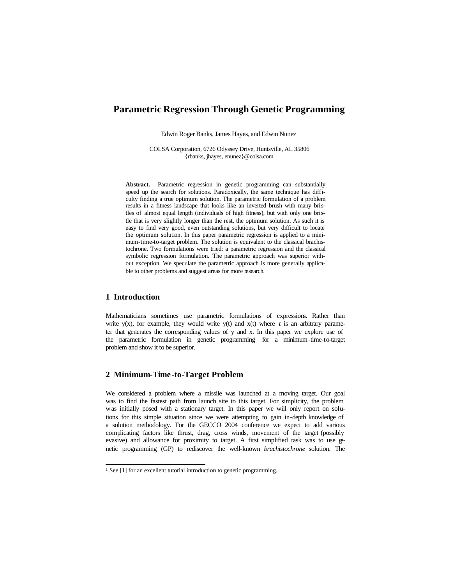# **Parametric Regression Through Genetic Programming**

Edwin Roger Banks, James Hayes, and Edwin Nunez

COLSA Corporation, 6726 Odyssey Drive, Huntsville, AL 35806 {rbanks, jhayes, enunez}@colsa.com

Abstract. Parametric regression in genetic programming can substantially speed up the search for solutions. Paradoxically, the same technique has difficulty finding a true optimum solution. The parametric formulation of a problem results in a fitness landscape that looks like an inverted brush with many bristles of almost equal length (individuals of high fitness), but with only one bristle that is very slightly longer than the rest, the optimum solution. As such it is easy to find very good, even outstanding solutions, but very difficult to locate the optimum solution. In this paper parametric regression is applied to a minimum-time-to-target problem. The solution is equivalent to the classical brachistochrone. Two formulations were tried: a parametric regression and the classical symbolic regression formulation. The parametric approach was superior without exception. We speculate the parametric approach is more generally applicable to other problems and suggest areas for more research.

## **1 Introduction**

l

Mathematicians sometimes use parametric formulations of expressions. Rather than write  $y(x)$ , for example, they would write  $y(t)$  and  $x(t)$  where *t* is an arbitrary parameter that generates the corresponding values of  $y$  and  $x$ . In this paper we explore use of the parametric formulation in genetic programming for a minimum-time-to-target problem and show it to be superior.

## **2 Minimum-Time -to-Target Problem**

We considered a problem where a missile was launched at a moving target. Our goal was to find the fastest path from launch site to this target. For simplicity, the problem was initially posed with a stationary target. In this paper we will only report on solutions for this simple situation since we were attempting to gain in-depth knowledge of a solution methodology. For the GECCO 2004 conference we expect to add various complicating factors like thrust, drag, cross winds, movement of the target (possibly evasive) and allowance for proximity to target. A first simplified task was to use genetic programming (GP) to rediscover the well-known *brachistochrone* solution. The

<sup>&</sup>lt;sup>1</sup> See [1] for an excellent tutorial introduction to genetic programming.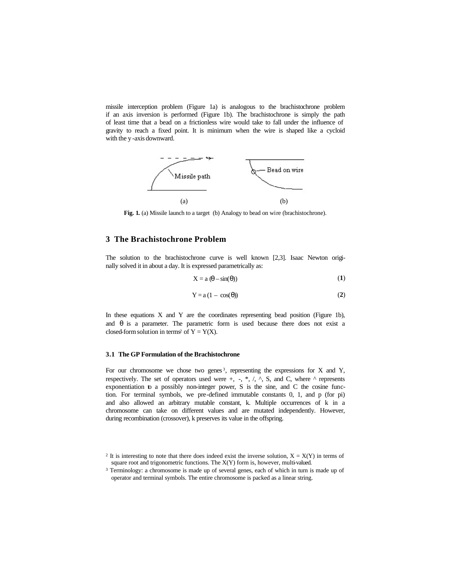missile interception problem (Figure 1a) is analogous to the brachistochrone problem if an axis inversion is performed (Figure 1b). The brachistochrone is simply the path of least time that a bead on a frictionless wire would take to fall under the influence of gravity to reach a fixed point. It is minimum when the wire is shaped like a cycloid with the y -axis downward.



Fig. 1. (a) Missile launch to a target (b) Analogy to bead on wire (brachistochrone).

## **3 The Brachistochrone Problem**

The solution to the brachistochrone curve is well known [2,3]. Isaac Newton originally solved it in about a day. It is expressed parametrically as:

$$
X = a \left(\theta - \sin(\theta)\right) \tag{1}
$$

$$
Y = a (1 - \cos(\theta))
$$
 (2)

In these equations X and Y are the coordinates representing bead position (Figure 1b), and  $\theta$  is a parameter. The parametric form is used because there does not exist a closed-form solution in terms<sup>2</sup> of  $Y = Y(X)$ .

#### **3.1 The GP Formulation of the Brachistochrone**

For our chromosome we chose two genes<sup>3</sup>, representing the expressions for X and Y, respectively. The set of operators used were  $+$ ,  $-$ ,  $*$ ,  $/$ ,  $\wedge$ ,  $S$ , and C, where  $\wedge$  represents exponentiation to a possibly non-integer power, S is the sine, and C the cosine function. For terminal symbols, we pre-defined immutable constants 0, 1, and p (for pi) and also allowed an arbitrary mutable constant, k. Multiple occurrences of k in a chromosome can take on different values and are mutated independently. However, during recombination (crossover), k preserves its value in the offspring.

<sup>&</sup>lt;sup>2</sup> It is interesting to note that there does indeed exist the inverse solution,  $X = X(Y)$  in terms of square root and trigonometric functions. The X(Y) form is, however, multi-valued.

<sup>&</sup>lt;sup>3</sup> Terminology: a chromosome is made up of several genes, each of which in turn is made up of operator and terminal symbols. The entire chromosome is packed as a linear string.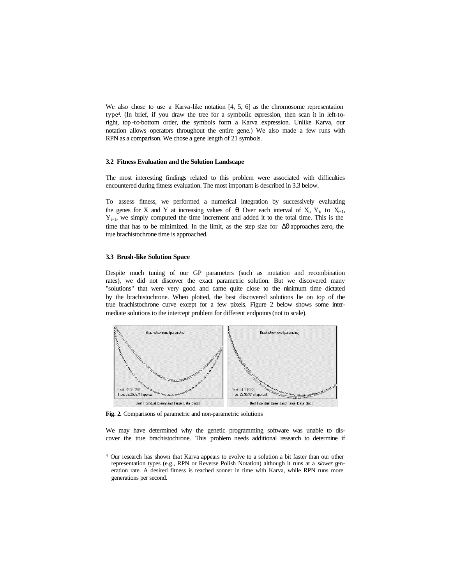We also chose to use a Karva-like notation [4, 5, 6] as the chromosome representation type<sup>4</sup> . (In brief, if you draw the tree for a symbolic expression, then scan it in left-toright, top -to-bottom order, the symbols form a Karva expression. Unlike Karva, our notation allows operators throughout the entire gene.) We also made a few runs with RPN as a comparison. We chose a gene length of 21 symbols.

#### **3.2 Fitness Evaluation and the Solution Landscape**

The most interesting findings related to this problem were associated with difficulties encountered during fitness evaluation. The most important is described in 3.3 below.

To assess fitness, we performed a numerical integration by successively evaluating the genes for X and Y at increasing values of  $\theta$ . Over each interval of X<sub>i</sub>, Y<sub>i</sub>, to X<sub>i+1</sub>,  $Y_{i+1}$ , we simply computed the time increment and added it to the total time. This is the time that has to be minimized. In the limit, as the step size for  $\Delta\theta$  approaches zero, the true brachistochrone time is approached.

#### **3.3 Brush-like Solution Space**

Despite much tuning of our GP parameters (such as mutation and recombination rates), we did not discover the exact parametric solution. But we discovered many "solutions" that were very good and came quite close to the minimum time dictated by the brachistochrone. When plotted, the best discovered solutions lie on top of the true brachistochrone curve except for a few pixels. Figure 2 below shows some intermediate solutions to the intercept problem for different endpoints (not to scale).



**Fig. 2.** Comparisons of parametric and non-parametric solutions

We may have determined why the genetic programming software was unable to discover the true brachistochrone. This problem needs additional research to determine if

<sup>4</sup> Our research has shown that Karva appears to evolve to a solution a bit faster than our other representation types (e.g., RPN or Reverse Polish Notation) although it runs at a *slower* generation rate. A desired fitness is reached sooner in time with Karva, while RPN runs more generations per second.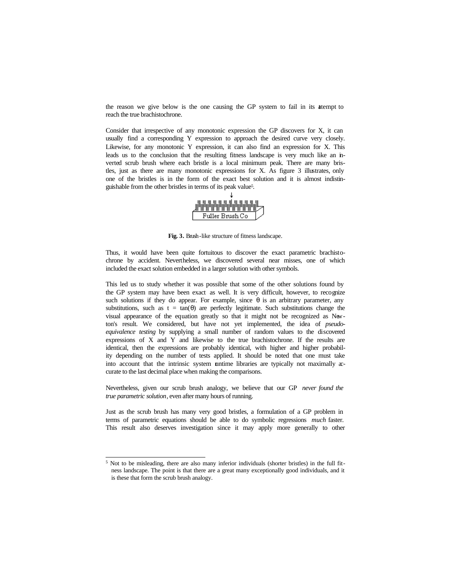the reason we give below is the one causing the GP system to fail in its attempt to reach the true brachistochrone.

Consider that irrespective of any monotonic expression the GP discovers for X, it can usually find a corresponding Y expression to approach the desired curve very closely. Likewise, for any monotonic Y expression, it can also find an expression for X. This leads us to the conclusion that the resulting fitness landscape is very much like an inverted scrub brush where each bristle is a local minimum peak. There are many bristles, just as there are many monotonic expressions for X. As figure 3 illustrates, only one of the bristles is in the form of the exact best solution and it is almost indistinguishable from the other bristles in terms of its peak value<sup>5</sup> .



**Fig. 3.** Brush-like structure of fitness landscape.

Thus, it would have been quite fortuitous to discover the exact parametric brachistochrone by accident. Nevertheless, we discovered several near misses, one of which included the exact solution embedded in a larger solution with other symbols.

This led us to study whether it was possible that some of the other solutions found by the GP system may have been exact as well. It is very difficult, however, to recognize such solutions if they do appear. For example, since  $\theta$  is an arbitrary parameter, any substitutions, such as  $t = \tan(\theta)$  are perfectly legitimate. Such substitutions change the visual appearance of the equation greatly so that it might not be recognized as Newton's result. We considered, but have not yet implemented, the idea of *pseudoequivalence testing* by supplying a small number of random values to the discovered expressions of X and Y and likewise to the true brachistochrone. If the results are identical, then the expressions are probably identical, with higher and higher probability depending on the number of tests applied. It should be noted that one must take into account that the intrinsic system runtime libraries are typically not maximally accurate to the last decimal place when making the comparisons.

Nevertheless, given our scrub brush analogy, we believe that our GP *never found the true parametric solution*, even after many hours of running.

Just as the scrub brush has many very good bristles, a formulation of a GP problem in terms of parametric equations should be able to do symbolic regressions *much* faster. This result also deserves investigation since it may apply more generally to other

l

<sup>&</sup>lt;sup>5</sup> Not to be misleading, there are also many inferior individuals (shorter bristles) in the full fitness landscape. The point is that there are a great many exceptionally good individuals, and it is these that form the scrub brush analogy.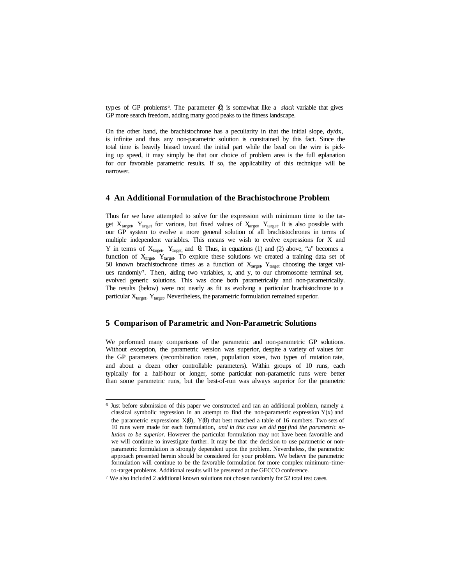types of GP problems<sup>6</sup> . The parameter (θ) is somewhat like a *slack* variable that gives GP more search freedom, adding many good peaks to the fitness landscape.

On the other hand, the brachistochrone has a peculiarity in that the initial slope, dy/dx, is infinite and thus any non-parametric solution is constrained by this fact. Since the total time is heavily biased toward the initial part while the bead on the wire is picking up speed, it may simply be that our choice of problem area is the full explanation for our favorable parametric results. If so, the applicability of this technique will be narrower.

#### **4 An Additional Formulation of the Brachistochrone Problem**

Thus far we have attempted to solve for the expression with minimum time to the target  $X_{\text{target}}$ ,  $Y_{\text{target}}$  for various, but fixed values of  $X_{\text{target}}$ ,  $Y_{\text{target}}$ . It is also possible with our GP system to evolve a more general solution of all brachistochrones in terms of multiple independent variables. This means we wish to evolve expressions for X and Y in terms of  $X_{\text{target}}$ ,  $Y_{\text{target}}$  and θ. Thus, in equations (1) and (2) above, "a" becomes a function of  $X_{\text{target}}$ ,  $Y_{\text{target}}$ . To explore these solutions we created a training data set of 50 known brachistochrone times as a function of  $X_{\text{target}}$   $Y_{\text{target}}$  choosing the target values randomly<sup>7</sup>. Then, adding two variables, x, and y, to our chromosome terminal set, evolved generic solutions. This was done both parametrically and non-parametrically. The results (below) were not nearly as fit as evolving a particular brachistochrone to a particular  $X_{target}$ ,  $Y_{target}$ . Nevertheless, the parametric formulation remained superior.

#### **5 Comparison of Parametric and Non-Parametric Solutions**

l

We performed many comparisons of the parametric and non-parametric GP solutions. Without exception, the parametric version was superior, despite a variety of values for the GP parameters (recombination rates, population sizes, two types of mutation rate, and about a dozen other controllable parameters). Within groups of 10 runs, each typically for a half-hour or longer, some particular non-parametric runs were better than some parametric runs, but the best-of-run was always superior for the parametric

<sup>6</sup> Just before submission of this paper we constructed and ran an additional problem, namely a classical symbolic regression in an attempt to find the non-parametric expression  $Y(x)$  and the parametric expressions  $X(\theta)$ ,  $Y(\theta)$  that best matched a table of 16 numbers. Two sets of 10 runs were made for each formulation, *and in this case we did not find the parametric solution to be superior*. However the particular formulation may not have been favorable and we will continue to investigate further. It may be that the decision to use parametric or nonparametric formulation is strongly dependent upon the problem. Nevertheless, the parametric approach presented herein should be considered for your problem. We believe the parametric formulation will continue to be the favorable formulation for more complex minimum-timeto-target problems. Additional results will be presented at the GECCO conference.

<sup>7</sup> We also included 2 additional known solutions not chosen randomly for 52 total test cases.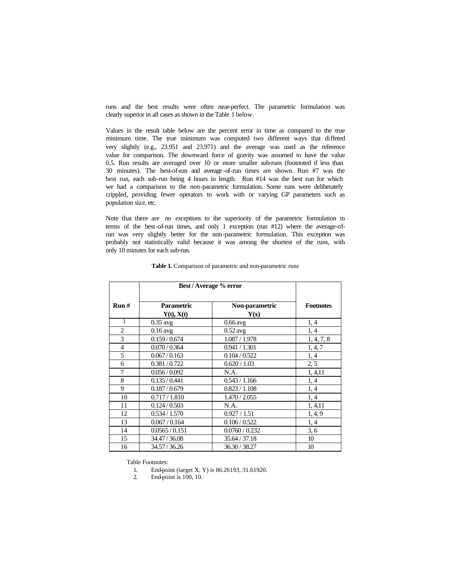runs and the best results were often near-perfect. The parametric formulation was clearly superior in all cases as shown in the Table 1 below.

Values in the result table below are the percent error in time as compared to the true minimum time. The true minimum was computed two different ways that differed very slightly (e.g., 23.951 and 23.971) and the average was used as the reference value for comparison. The downward force of gravity was assumed to have the value 0.5. Run results are averaged over 10 or more smaller sub-runs (footnoted if less than 30 minutes). The best-of-run and average-of-run times are shown. Run #7 was the best run, each sub-run being 4 hours in length. Run #14 was the best run for which we had a comparison to the non-parametric formulation. Some runs were deliberately crippled, providing fewer operators to work with or varying GP parameters such as population size, etc.

Note that there are *no exceptions* to the superiority of the parametric formulation in terms of the best-of-run times, and only 1 exception (run #12) where the average-ofrun was very slightly better for the non-parametric formulation. This exception was probably not statistically valid because it was among the shortest of the runs, with only 10 minutes for each sub-run.

|                | Best / Average % error          |                        |                  |
|----------------|---------------------------------|------------------------|------------------|
| Run#           | <b>Parametric</b><br>Y(t), X(t) | Non-parametric<br>Y(x) | <b>Footnotes</b> |
| 1              | $0.35$ avg                      | $0.66$ avg             | 1, 4             |
| $\overline{2}$ | $0.16$ avg                      | $0.52$ avg             | 1, 4             |
| 3              | 0.159/0.674                     | 1.087 / 1.978          | 1, 4, 7, 8       |
| $\overline{4}$ | 0.070 / 0.364                   | 0.941 / 1.301          | 1, 4, 7          |
| 5              | 0.067/0.163                     | 0.104 / 0.522          | 1, 4             |
| 6              | 0.381/0.722                     | 0.620 / 1.03           | 2, 5             |
| 7              | 0.056 / 0.092                   | N.A.                   | 1, 4, 11         |
| 8              | 0.135/0.441                     | 0.543 / 1.166          | 1, 4             |
| 9              | 0.187 / 0.679                   | 0.823 / 1.108          | 1, 4             |
| 10             | 0.717 / 1.810                   | 1.470 / 2.055          | 1, 4             |
| 11             | 0.124 / 0.503                   | N.A.                   | 1, 4, 11         |
| 12             | 0.534 / 1.570                   | 0.927 / 1.51           | 1, 4, 9          |
| 13             | 0.067 / 0.164                   | 0.106 / 0.522          | 1, 4             |
| 14             | 0.0565/0.151                    | 0.0760 / 0.232         | 3, 6             |
| 15             | 34.47 / 36.08                   | 35.64 / 37.18          | 10               |
| 16             | 34.57/36.26                     | 36.30 / 38.27          | 10               |

**Table 1.** Comparison of parametric and non-parametric runs

Table Footnotes:

1. End-point (target X, Y) is 86.26193, 31.61920.

2. End-point is 100, 10.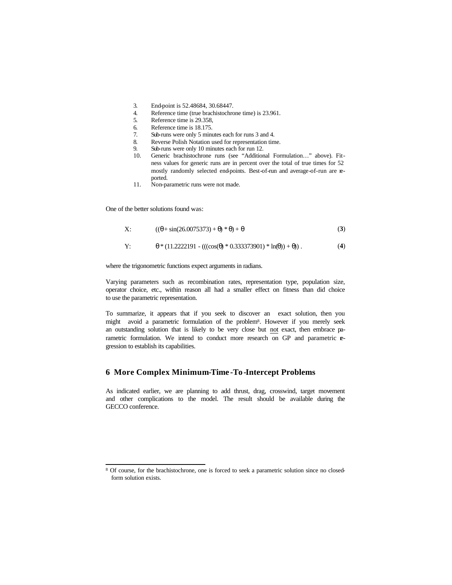- 3. End-point is 52.48684, 30.68447.
- 4. Reference time (true brachistochrone time) is 23.961.
- 5. Reference time is 29.358,
- 6. Reference time is 18.175.
- 7. Sub-runs were only 5 minutes each for runs 3 and 4.
- 8. Reverse Polish Notation used for representation time.<br>9. Sub-runs were only 10 minutes each for run 12.
- Sub-runs were only 10 minutes each for run 12.
- 10. Generic brachistochrone runs (see "Additional Formulation…" above). Fitness values for generic runs are in percent over the total of true times for 52 mostly randomly selected end-points. Best-of-run and average-of-run are reported.
- 11. Non-parametric runs were not made.

One of the better solutions found was:

l

$$
X: \qquad ((\theta + \sin(26.0075373) + \theta) * \theta) + \theta \qquad (3)
$$

Y: 
$$
\theta * (11.2222191 - (((\cos(\theta) * 0.333373901) * \ln(\theta)) + \theta))
$$
. (4)

where the trigonometric functions expect arguments in radians.

Varying parameters such as recombination rates, representation type, population size, operator choice, etc., within reason all had a smaller effect on fitness than did choice to use the parametric representation.

To summarize, it appears that if you seek to discover an exact solution, then you might avoid a parametric formulation of the problem<sup>8</sup> . However if you merely seek an outstanding solution that is likely to be very close but not exact, then embrace parametric formulation. We intend to conduct more research on GP and parametric regression to establish its capabilities.

### **6 More Complex Minimum-Time -To-Intercept Problems**

As indicated earlier, we are planning to add thrust, drag, crosswind, target movement and other complications to the model. The result should be available during the GECCO conference.

<sup>8</sup> Of course, for the brachistochrone, one is forced to seek a parametric solution since no closedform solution exists.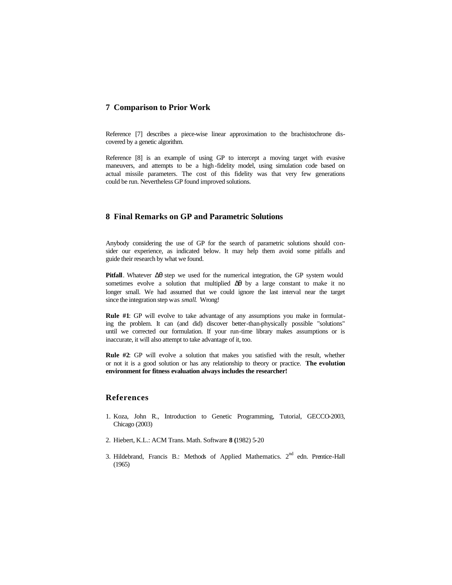## **7 Comparison to Prior Work**

Reference [7] describes a piece-wise linear approximation to the brachistochrone discovered by a genetic algorithm.

Reference [8] is an example of using GP to intercept a moving target with evasive maneuvers, and attempts to be a high -fidelity model, using simulation code based on actual missile parameters. The cost of this fidelity was that very few generations could be run. Nevertheless GP found improved solutions.

## **8 Final Remarks on GP and Parametric Solutions**

Anybody considering the use of GP for the search of parametric solutions should consider our experience, as indicated below. It may help them avoid some pitfalls and guide their research by what we found.

**Pitfall**. Whatever Δθ step we used for the numerical integration, the GP system would sometimes evolve a solution that multiplied Δθ by a large constant to make it no longer small. We had assumed that we could ignore the last interval near the target since the integration step was *small*. Wrong!

**Rule #1**: GP will evolve to take advantage of any assumptions you make in formulating the problem. It can (and did) discover better-than-physically possible "solutions" until we corrected our formulation. If your run-time library makes assumptions or is inaccurate, it will also attempt to take advantage of it, too.

**Rule #2**: GP will evolve a solution that makes you satisfied with the result, whether or not it is a good solution or has any relationship to theory or practice. **The evolution environment for fitness evaluation always includes the researcher!**

## **References**

- 1. Koza, John R., Introduction to Genetic Programming, Tutorial, GECCO-2003, Chicago (2003)
- 2. Hiebert, K.L.: ACM Trans. Math. Software **8 (**1982) 5-20
- 3. Hildebrand, Francis B.: Methods of Applied Mathematics. 2<sup>nd</sup> edn. Prentice-Hall (1965)